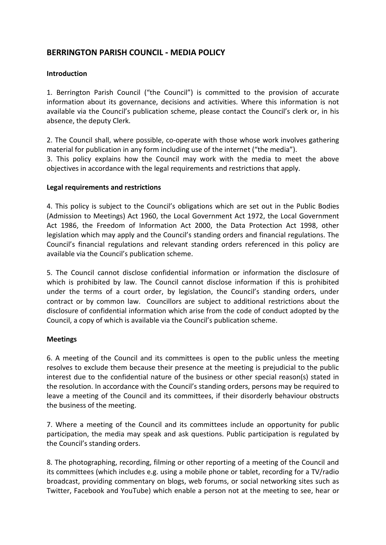# **BERRINGTON PARISH COUNCIL** ‐ **MEDIA POLICY**

## **Introduction**

1. Berrington Parish Council ("the Council") is committed to the provision of accurate information about its governance, decisions and activities. Where this information is not available via the Council's publication scheme, please contact the Council's clerk or, in his absence, the deputy Clerk.

2. The Council shall, where possible, co-operate with those whose work involves gathering material for publication in any form including use of the internet ("the media"). 3. This policy explains how the Council may work with the media to meet the above objectives in accordance with the legal requirements and restrictions that apply.

### **Legal requirements and restrictions**

4. This policy is subject to the Council's obligations which are set out in the Public Bodies (Admission to Meetings) Act 1960, the Local Government Act 1972, the Local Government Act 1986, the Freedom of Information Act 2000, the Data Protection Act 1998, other legislation which may apply and the Council's standing orders and financial regulations. The Council's financial regulations and relevant standing orders referenced in this policy are available via the Council's publication scheme.

5. The Council cannot disclose confidential information or information the disclosure of which is prohibited by law. The Council cannot disclose information if this is prohibited under the terms of a court order, by legislation, the Council's standing orders, under contract or by common law. Councillors are subject to additional restrictions about the disclosure of confidential information which arise from the code of conduct adopted by the Council, a copy of which is available via the Council's publication scheme.

### **Meetings**

6. A meeting of the Council and its committees is open to the public unless the meeting resolves to exclude them because their presence at the meeting is prejudicial to the public interest due to the confidential nature of the business or other special reason(s) stated in the resolution. In accordance with the Council's standing orders, persons may be required to leave a meeting of the Council and its committees, if their disorderly behaviour obstructs the business of the meeting.

7. Where a meeting of the Council and its committees include an opportunity for public participation, the media may speak and ask questions. Public participation is regulated by the Council's standing orders.

8. The photographing, recording, filming or other reporting of a meeting of the Council and its committees (which includes e.g. using a mobile phone or tablet, recording for a TV/radio broadcast, providing commentary on blogs, web forums, or social networking sites such as Twitter, Facebook and YouTube) which enable a person not at the meeting to see, hear or